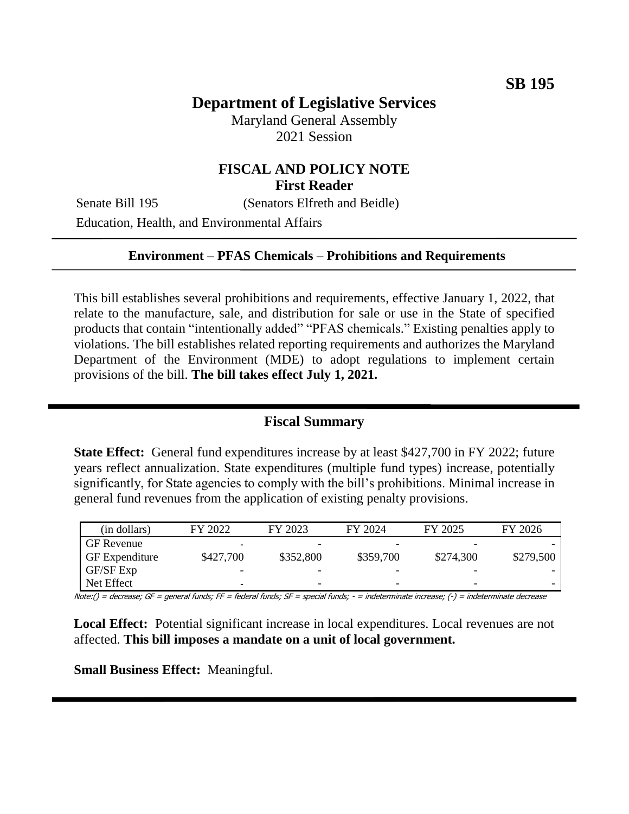# **Department of Legislative Services**

Maryland General Assembly 2021 Session

# **FISCAL AND POLICY NOTE First Reader**

Senate Bill 195 (Senators Elfreth and Beidle)

Education, Health, and Environmental Affairs

#### **Environment – PFAS Chemicals – Prohibitions and Requirements**

This bill establishes several prohibitions and requirements, effective January 1, 2022, that relate to the manufacture, sale, and distribution for sale or use in the State of specified products that contain "intentionally added" "PFAS chemicals." Existing penalties apply to violations. The bill establishes related reporting requirements and authorizes the Maryland Department of the Environment (MDE) to adopt regulations to implement certain provisions of the bill. **The bill takes effect July 1, 2021.** 

### **Fiscal Summary**

**State Effect:** General fund expenditures increase by at least \$427,700 in FY 2022; future years reflect annualization. State expenditures (multiple fund types) increase, potentially significantly, for State agencies to comply with the bill's prohibitions. Minimal increase in general fund revenues from the application of existing penalty provisions.

| (in dollars)          | FY 2022   | FY 2023                  | FY 2024                  | FY 2025   | FY 2026   |
|-----------------------|-----------|--------------------------|--------------------------|-----------|-----------|
| <b>GF</b> Revenue     | -         |                          |                          |           |           |
| <b>GF</b> Expenditure | \$427,700 | \$352,800                | \$359,700                | \$274,300 | \$279,500 |
| GF/SF Exp             |           |                          |                          |           |           |
| Net Effect            | -         | $\overline{\phantom{0}}$ | $\overline{\phantom{0}}$ | -         |           |

Note:() = decrease; GF = general funds; FF = federal funds; SF = special funds; - = indeterminate increase; (-) = indeterminate decrease

**Local Effect:** Potential significant increase in local expenditures. Local revenues are not affected. **This bill imposes a mandate on a unit of local government.**

**Small Business Effect:** Meaningful.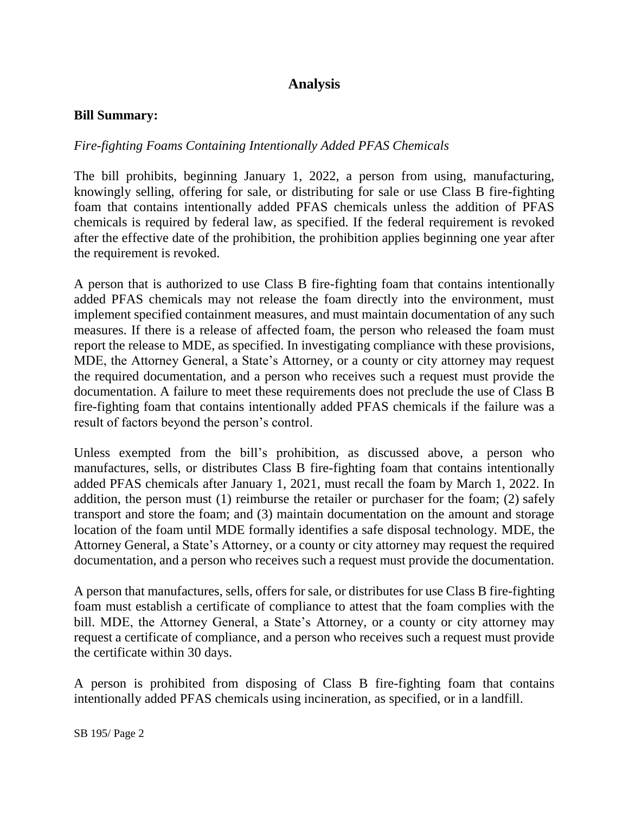# **Analysis**

#### **Bill Summary:**

#### *Fire-fighting Foams Containing Intentionally Added PFAS Chemicals*

The bill prohibits, beginning January 1, 2022, a person from using, manufacturing, knowingly selling, offering for sale, or distributing for sale or use Class B fire-fighting foam that contains intentionally added PFAS chemicals unless the addition of PFAS chemicals is required by federal law, as specified. If the federal requirement is revoked after the effective date of the prohibition, the prohibition applies beginning one year after the requirement is revoked.

A person that is authorized to use Class B fire-fighting foam that contains intentionally added PFAS chemicals may not release the foam directly into the environment, must implement specified containment measures, and must maintain documentation of any such measures. If there is a release of affected foam, the person who released the foam must report the release to MDE, as specified. In investigating compliance with these provisions, MDE, the Attorney General, a State's Attorney, or a county or city attorney may request the required documentation, and a person who receives such a request must provide the documentation. A failure to meet these requirements does not preclude the use of Class B fire-fighting foam that contains intentionally added PFAS chemicals if the failure was a result of factors beyond the person's control.

Unless exempted from the bill's prohibition, as discussed above, a person who manufactures, sells, or distributes Class B fire-fighting foam that contains intentionally added PFAS chemicals after January 1, 2021, must recall the foam by March 1, 2022. In addition, the person must (1) reimburse the retailer or purchaser for the foam; (2) safely transport and store the foam; and (3) maintain documentation on the amount and storage location of the foam until MDE formally identifies a safe disposal technology. MDE, the Attorney General, a State's Attorney, or a county or city attorney may request the required documentation, and a person who receives such a request must provide the documentation.

A person that manufactures, sells, offers for sale, or distributes for use Class B fire-fighting foam must establish a certificate of compliance to attest that the foam complies with the bill. MDE, the Attorney General, a State's Attorney, or a county or city attorney may request a certificate of compliance, and a person who receives such a request must provide the certificate within 30 days.

A person is prohibited from disposing of Class B fire-fighting foam that contains intentionally added PFAS chemicals using incineration, as specified, or in a landfill.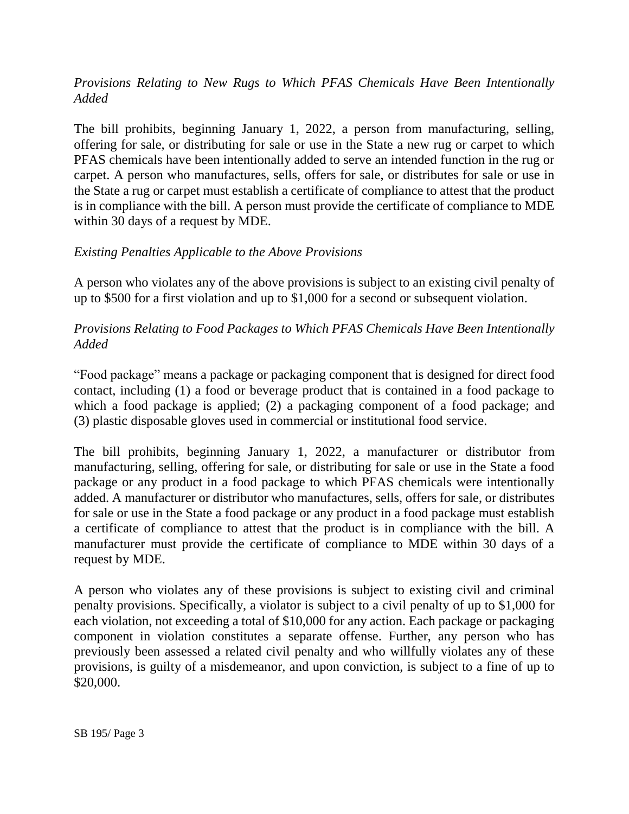## *Provisions Relating to New Rugs to Which PFAS Chemicals Have Been Intentionally Added*

The bill prohibits, beginning January 1, 2022, a person from manufacturing, selling, offering for sale, or distributing for sale or use in the State a new rug or carpet to which PFAS chemicals have been intentionally added to serve an intended function in the rug or carpet. A person who manufactures, sells, offers for sale, or distributes for sale or use in the State a rug or carpet must establish a certificate of compliance to attest that the product is in compliance with the bill. A person must provide the certificate of compliance to MDE within 30 days of a request by MDE.

## *Existing Penalties Applicable to the Above Provisions*

A person who violates any of the above provisions is subject to an existing civil penalty of up to \$500 for a first violation and up to \$1,000 for a second or subsequent violation.

## *Provisions Relating to Food Packages to Which PFAS Chemicals Have Been Intentionally Added*

"Food package" means a package or packaging component that is designed for direct food contact, including (1) a food or beverage product that is contained in a food package to which a food package is applied; (2) a packaging component of a food package; and (3) plastic disposable gloves used in commercial or institutional food service.

The bill prohibits, beginning January 1, 2022, a manufacturer or distributor from manufacturing, selling, offering for sale, or distributing for sale or use in the State a food package or any product in a food package to which PFAS chemicals were intentionally added. A manufacturer or distributor who manufactures, sells, offers for sale, or distributes for sale or use in the State a food package or any product in a food package must establish a certificate of compliance to attest that the product is in compliance with the bill. A manufacturer must provide the certificate of compliance to MDE within 30 days of a request by MDE.

A person who violates any of these provisions is subject to existing civil and criminal penalty provisions. Specifically, a violator is subject to a civil penalty of up to \$1,000 for each violation, not exceeding a total of \$10,000 for any action. Each package or packaging component in violation constitutes a separate offense. Further, any person who has previously been assessed a related civil penalty and who willfully violates any of these provisions, is guilty of a misdemeanor, and upon conviction, is subject to a fine of up to \$20,000.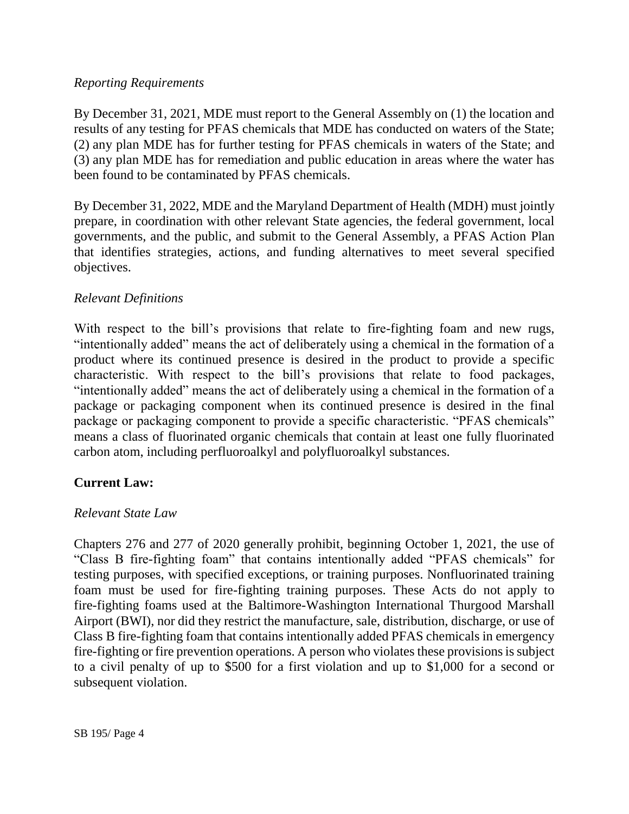### *Reporting Requirements*

By December 31, 2021, MDE must report to the General Assembly on (1) the location and results of any testing for PFAS chemicals that MDE has conducted on waters of the State; (2) any plan MDE has for further testing for PFAS chemicals in waters of the State; and (3) any plan MDE has for remediation and public education in areas where the water has been found to be contaminated by PFAS chemicals.

By December 31, 2022, MDE and the Maryland Department of Health (MDH) must jointly prepare, in coordination with other relevant State agencies, the federal government, local governments, and the public, and submit to the General Assembly, a PFAS Action Plan that identifies strategies, actions, and funding alternatives to meet several specified objectives.

## *Relevant Definitions*

With respect to the bill's provisions that relate to fire-fighting foam and new rugs, "intentionally added" means the act of deliberately using a chemical in the formation of a product where its continued presence is desired in the product to provide a specific characteristic. With respect to the bill's provisions that relate to food packages, "intentionally added" means the act of deliberately using a chemical in the formation of a package or packaging component when its continued presence is desired in the final package or packaging component to provide a specific characteristic. "PFAS chemicals" means a class of fluorinated organic chemicals that contain at least one fully fluorinated carbon atom, including perfluoroalkyl and polyfluoroalkyl substances.

## **Current Law:**

#### *Relevant State Law*

Chapters 276 and 277 of 2020 generally prohibit, beginning October 1, 2021, the use of "Class B fire-fighting foam" that contains intentionally added "PFAS chemicals" for testing purposes, with specified exceptions, or training purposes. Nonfluorinated training foam must be used for fire-fighting training purposes. These Acts do not apply to fire-fighting foams used at the Baltimore-Washington International Thurgood Marshall Airport (BWI), nor did they restrict the manufacture, sale, distribution, discharge, or use of Class B fire-fighting foam that contains intentionally added PFAS chemicals in emergency fire-fighting or fire prevention operations. A person who violates these provisions is subject to a civil penalty of up to \$500 for a first violation and up to \$1,000 for a second or subsequent violation.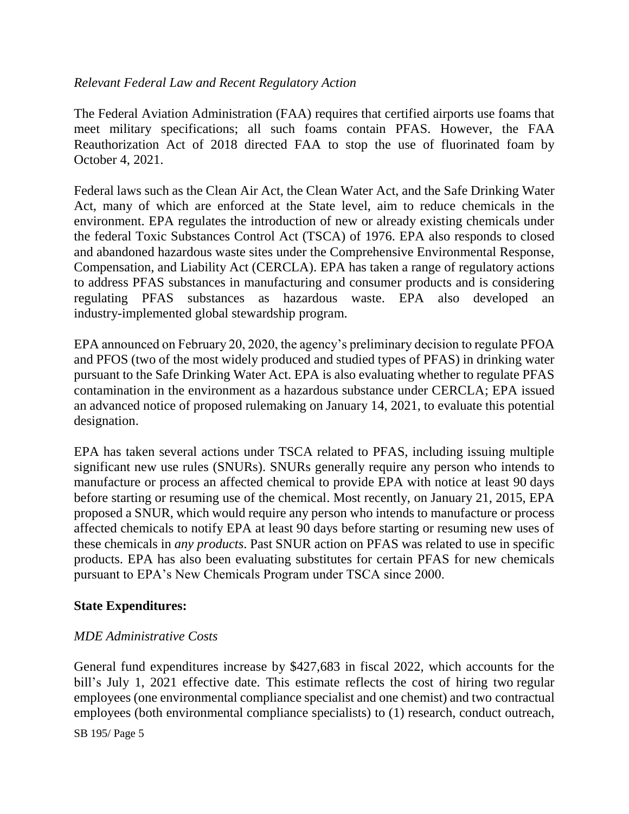## *Relevant Federal Law and Recent Regulatory Action*

The Federal Aviation Administration (FAA) requires that certified airports use foams that meet military specifications; all such foams contain PFAS. However, the FAA Reauthorization Act of 2018 directed FAA to stop the use of fluorinated foam by October 4, 2021.

Federal laws such as the Clean Air Act, the Clean Water Act, and the Safe Drinking Water Act, many of which are enforced at the State level, aim to reduce chemicals in the environment. EPA regulates the introduction of new or already existing chemicals under the federal Toxic Substances Control Act (TSCA) of 1976. EPA also responds to closed and abandoned hazardous waste sites under the Comprehensive Environmental Response, Compensation, and Liability Act (CERCLA). EPA has taken a range of regulatory actions to address PFAS substances in manufacturing and consumer products and is considering regulating PFAS substances as hazardous waste. EPA also developed an industry-implemented global stewardship program.

EPA announced on February 20, 2020, the agency's preliminary decision to regulate PFOA and PFOS (two of the most widely produced and studied types of PFAS) in drinking water pursuant to the Safe Drinking Water Act. EPA is also evaluating whether to regulate PFAS contamination in the environment as a hazardous substance under CERCLA; EPA issued an advanced notice of proposed rulemaking on January 14, 2021, to evaluate this potential designation.

EPA has taken several actions under TSCA related to PFAS, including issuing multiple significant new use rules (SNURs). SNURs generally require any person who intends to manufacture or process an affected chemical to provide EPA with notice at least 90 days before starting or resuming use of the chemical. Most recently, on January 21, 2015, EPA proposed a SNUR, which would require any person who intends to manufacture or process affected chemicals to notify EPA at least 90 days before starting or resuming new uses of these chemicals in *any products*. Past SNUR action on PFAS was related to use in specific products. EPA has also been evaluating substitutes for certain PFAS for new chemicals pursuant to EPA's New Chemicals Program under TSCA since 2000.

#### **State Expenditures:**

#### *MDE Administrative Costs*

General fund expenditures increase by \$427,683 in fiscal 2022, which accounts for the bill's July 1, 2021 effective date. This estimate reflects the cost of hiring two regular employees (one environmental compliance specialist and one chemist) and two contractual employees (both environmental compliance specialists) to (1) research, conduct outreach,

SB 195/ Page 5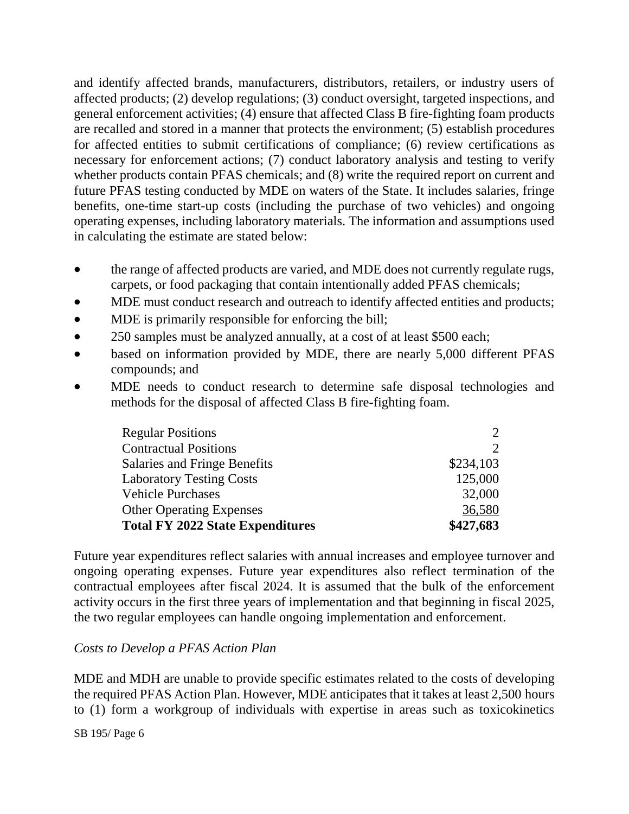and identify affected brands, manufacturers, distributors, retailers, or industry users of affected products; (2) develop regulations; (3) conduct oversight, targeted inspections, and general enforcement activities; (4) ensure that affected Class B fire-fighting foam products are recalled and stored in a manner that protects the environment; (5) establish procedures for affected entities to submit certifications of compliance; (6) review certifications as necessary for enforcement actions; (7) conduct laboratory analysis and testing to verify whether products contain PFAS chemicals; and  $(8)$  write the required report on current and future PFAS testing conducted by MDE on waters of the State. It includes salaries, fringe benefits, one-time start-up costs (including the purchase of two vehicles) and ongoing operating expenses, including laboratory materials. The information and assumptions used in calculating the estimate are stated below:

- the range of affected products are varied, and MDE does not currently regulate rugs, carpets, or food packaging that contain intentionally added PFAS chemicals;
- MDE must conduct research and outreach to identify affected entities and products;
- MDE is primarily responsible for enforcing the bill;
- 250 samples must be analyzed annually, at a cost of at least \$500 each;
- based on information provided by MDE, there are nearly 5,000 different PFAS compounds; and
- MDE needs to conduct research to determine safe disposal technologies and methods for the disposal of affected Class B fire-fighting foam.

| <b>Regular Positions</b>                | $\mathcal{D}_{\cdot}$       |
|-----------------------------------------|-----------------------------|
| <b>Contractual Positions</b>            | $\mathcal{D}_{\mathcal{L}}$ |
| Salaries and Fringe Benefits            | \$234,103                   |
| <b>Laboratory Testing Costs</b>         | 125,000                     |
| <b>Vehicle Purchases</b>                | 32,000                      |
| <b>Other Operating Expenses</b>         | 36,580                      |
| <b>Total FY 2022 State Expenditures</b> | \$427,683                   |

Future year expenditures reflect salaries with annual increases and employee turnover and ongoing operating expenses. Future year expenditures also reflect termination of the contractual employees after fiscal 2024. It is assumed that the bulk of the enforcement activity occurs in the first three years of implementation and that beginning in fiscal 2025, the two regular employees can handle ongoing implementation and enforcement.

## *Costs to Develop a PFAS Action Plan*

MDE and MDH are unable to provide specific estimates related to the costs of developing the required PFAS Action Plan. However, MDE anticipates that it takes at least 2,500 hours to (1) form a workgroup of individuals with expertise in areas such as toxicokinetics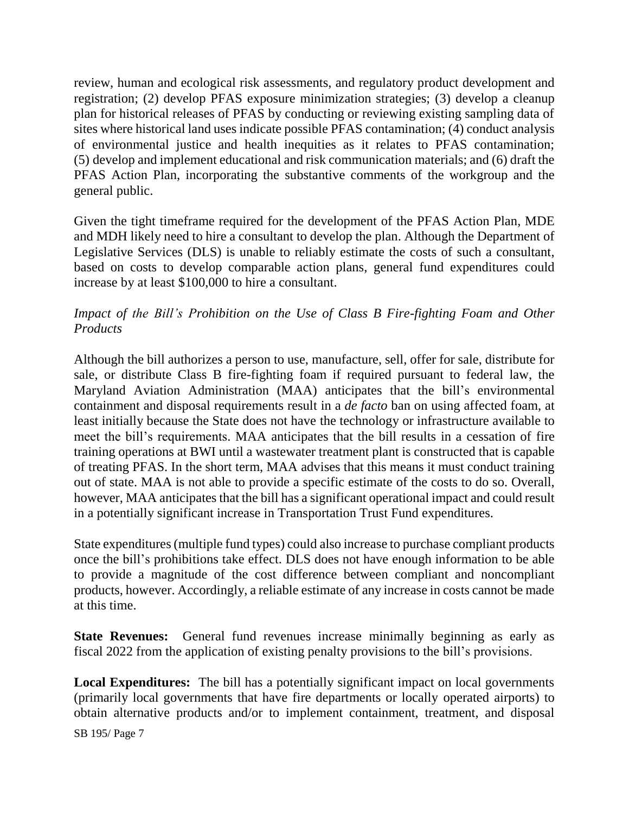review, human and ecological risk assessments, and regulatory product development and registration; (2) develop PFAS exposure minimization strategies; (3) develop a cleanup plan for historical releases of PFAS by conducting or reviewing existing sampling data of sites where historical land uses indicate possible PFAS contamination; (4) conduct analysis of environmental justice and health inequities as it relates to PFAS contamination; (5) develop and implement educational and risk communication materials; and (6) draft the PFAS Action Plan, incorporating the substantive comments of the workgroup and the general public.

Given the tight timeframe required for the development of the PFAS Action Plan, MDE and MDH likely need to hire a consultant to develop the plan. Although the Department of Legislative Services (DLS) is unable to reliably estimate the costs of such a consultant, based on costs to develop comparable action plans, general fund expenditures could increase by at least \$100,000 to hire a consultant.

## *Impact of the Bill's Prohibition on the Use of Class B Fire-fighting Foam and Other Products*

Although the bill authorizes a person to use, manufacture, sell, offer for sale, distribute for sale, or distribute Class B fire-fighting foam if required pursuant to federal law, the Maryland Aviation Administration (MAA) anticipates that the bill's environmental containment and disposal requirements result in a *de facto* ban on using affected foam, at least initially because the State does not have the technology or infrastructure available to meet the bill's requirements. MAA anticipates that the bill results in a cessation of fire training operations at BWI until a wastewater treatment plant is constructed that is capable of treating PFAS. In the short term, MAA advises that this means it must conduct training out of state. MAA is not able to provide a specific estimate of the costs to do so. Overall, however, MAA anticipates that the bill has a significant operational impact and could result in a potentially significant increase in Transportation Trust Fund expenditures.

State expenditures (multiple fund types) could also increase to purchase compliant products once the bill's prohibitions take effect. DLS does not have enough information to be able to provide a magnitude of the cost difference between compliant and noncompliant products, however. Accordingly, a reliable estimate of any increase in costs cannot be made at this time.

**State Revenues:** General fund revenues increase minimally beginning as early as fiscal 2022 from the application of existing penalty provisions to the bill's provisions.

**Local Expenditures:** The bill has a potentially significant impact on local governments (primarily local governments that have fire departments or locally operated airports) to obtain alternative products and/or to implement containment, treatment, and disposal

SB 195/ Page 7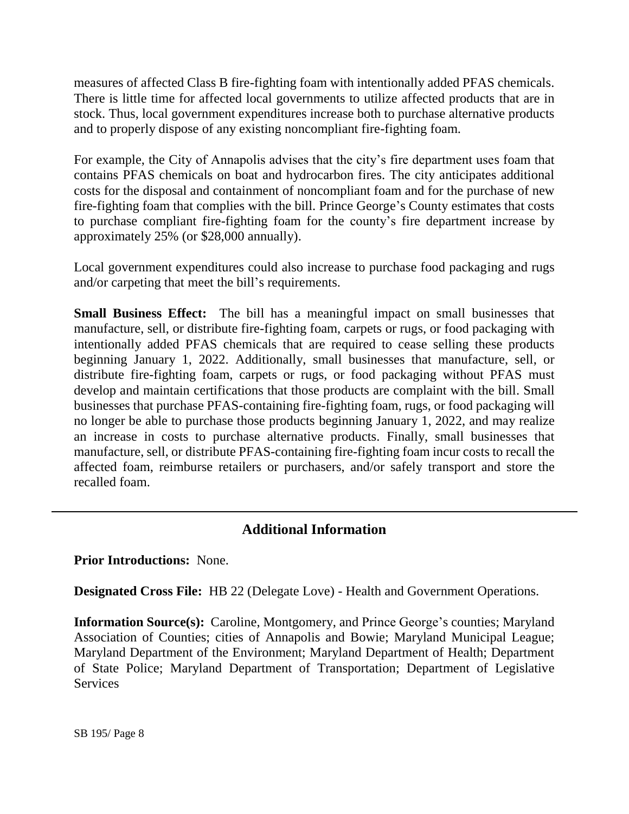measures of affected Class B fire-fighting foam with intentionally added PFAS chemicals. There is little time for affected local governments to utilize affected products that are in stock. Thus, local government expenditures increase both to purchase alternative products and to properly dispose of any existing noncompliant fire-fighting foam.

For example, the City of Annapolis advises that the city's fire department uses foam that contains PFAS chemicals on boat and hydrocarbon fires. The city anticipates additional costs for the disposal and containment of noncompliant foam and for the purchase of new fire-fighting foam that complies with the bill. Prince George's County estimates that costs to purchase compliant fire-fighting foam for the county's fire department increase by approximately 25% (or \$28,000 annually).

Local government expenditures could also increase to purchase food packaging and rugs and/or carpeting that meet the bill's requirements.

**Small Business Effect:** The bill has a meaningful impact on small businesses that manufacture, sell, or distribute fire-fighting foam, carpets or rugs, or food packaging with intentionally added PFAS chemicals that are required to cease selling these products beginning January 1, 2022. Additionally, small businesses that manufacture, sell, or distribute fire-fighting foam, carpets or rugs, or food packaging without PFAS must develop and maintain certifications that those products are complaint with the bill. Small businesses that purchase PFAS-containing fire-fighting foam, rugs, or food packaging will no longer be able to purchase those products beginning January 1, 2022, and may realize an increase in costs to purchase alternative products. Finally, small businesses that manufacture, sell, or distribute PFAS-containing fire-fighting foam incur costs to recall the affected foam, reimburse retailers or purchasers, and/or safely transport and store the recalled foam.

# **Additional Information**

**Prior Introductions:** None.

**Designated Cross File:** HB 22 (Delegate Love) - Health and Government Operations.

**Information Source(s):** Caroline, Montgomery, and Prince George's counties; Maryland Association of Counties; cities of Annapolis and Bowie; Maryland Municipal League; Maryland Department of the Environment; Maryland Department of Health; Department of State Police; Maryland Department of Transportation; Department of Legislative **Services**